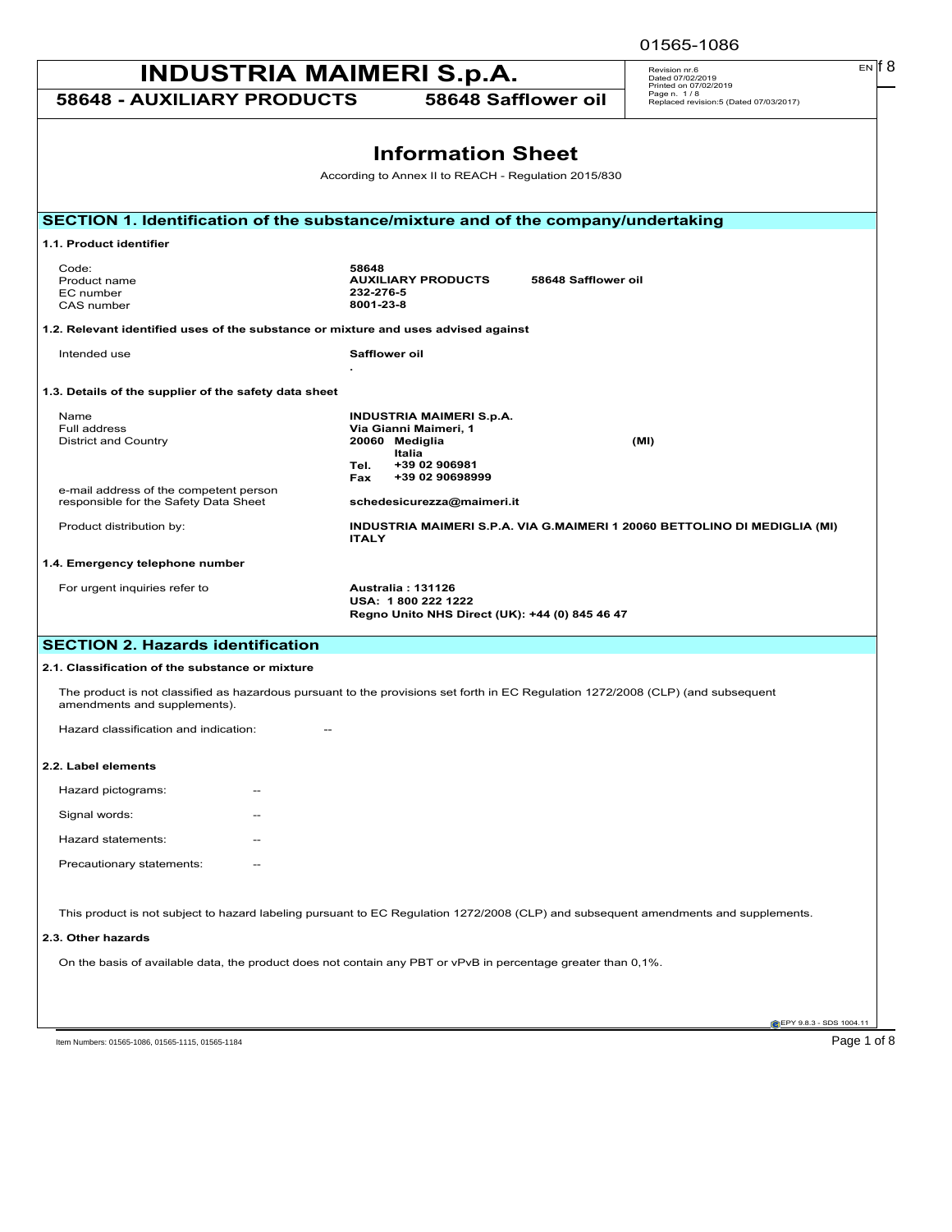| EN IT 8<br><b>INDUSTRIA MAIMERI S.p.A.</b><br>Revision nr.6<br>Dated 07/02/2019<br>Printed on 07/02/2019      |                                                                                                               |                                                                                                                                     |
|---------------------------------------------------------------------------------------------------------------|---------------------------------------------------------------------------------------------------------------|-------------------------------------------------------------------------------------------------------------------------------------|
| <b>58648 - AUXILIARY PRODUCTS</b>                                                                             |                                                                                                               | Page n. 1/8<br>58648 Safflower oil<br>Replaced revision:5 (Dated 07/03/2017)                                                        |
|                                                                                                               |                                                                                                               |                                                                                                                                     |
|                                                                                                               | <b>Information Sheet</b>                                                                                      |                                                                                                                                     |
|                                                                                                               | According to Annex II to REACH - Regulation 2015/830                                                          |                                                                                                                                     |
| SECTION 1. Identification of the substance/mixture and of the company/undertaking                             |                                                                                                               |                                                                                                                                     |
| 1.1. Product identifier                                                                                       |                                                                                                               |                                                                                                                                     |
| Code:<br>Product name<br>EC number<br>CAS number                                                              | 58648<br><b>AUXILIARY PRODUCTS</b><br>232-276-5<br>8001-23-8                                                  | 58648 Safflower oil                                                                                                                 |
| 1.2. Relevant identified uses of the substance or mixture and uses advised against                            |                                                                                                               |                                                                                                                                     |
| Intended use                                                                                                  | Safflower oil                                                                                                 |                                                                                                                                     |
| 1.3. Details of the supplier of the safety data sheet                                                         |                                                                                                               |                                                                                                                                     |
| Name<br>Full address<br><b>District and Country</b>                                                           | <b>INDUSTRIA MAIMERI S.p.A.</b><br>Via Gianni Maimeri, 1<br>20060 Mediglia<br>Italia<br>Tel.<br>+39 02 906981 | (MI)                                                                                                                                |
| e-mail address of the competent person<br>responsible for the Safety Data Sheet                               | +39 02 90698999<br>Fax<br>schedesicurezza@maimeri.it                                                          |                                                                                                                                     |
| Product distribution by:                                                                                      | <b>ITALY</b>                                                                                                  | INDUSTRIA MAIMERI S.P.A. VIA G.MAIMERI 1 20060 BETTOLINO DI MEDIGLIA (MI)                                                           |
| 1.4. Emergency telephone number                                                                               |                                                                                                               |                                                                                                                                     |
| For urgent inquiries refer to                                                                                 | Australia: 131126<br>USA: 1800 222 1222<br>Regno Unito NHS Direct (UK): +44 (0) 845 46 47                     |                                                                                                                                     |
| <b>SECTION 2. Hazards identification</b>                                                                      |                                                                                                               |                                                                                                                                     |
| 2.1. Classification of the substance or mixture                                                               |                                                                                                               |                                                                                                                                     |
| amendments and supplements).                                                                                  |                                                                                                               | The product is not classified as hazardous pursuant to the provisions set forth in EC Regulation 1272/2008 (CLP) (and subsequent    |
| Hazard classification and indication:                                                                         |                                                                                                               |                                                                                                                                     |
| 2.2. Label elements                                                                                           |                                                                                                               |                                                                                                                                     |
| Hazard pictograms:                                                                                            |                                                                                                               |                                                                                                                                     |
| Signal words:                                                                                                 |                                                                                                               |                                                                                                                                     |
| Hazard statements:                                                                                            |                                                                                                               |                                                                                                                                     |
| Precautionary statements:                                                                                     |                                                                                                               |                                                                                                                                     |
|                                                                                                               |                                                                                                               | This product is not subject to hazard labeling pursuant to EC Regulation 1272/2008 (CLP) and subsequent amendments and supplements. |
| 2.3. Other hazards                                                                                            |                                                                                                               |                                                                                                                                     |
| On the basis of available data, the product does not contain any PBT or vPvB in percentage greater than 0,1%. |                                                                                                               |                                                                                                                                     |
|                                                                                                               |                                                                                                               |                                                                                                                                     |
|                                                                                                               |                                                                                                               | EPY 9.8.3 - SDS 1004.11                                                                                                             |

Item Numbers: 01565-1086, 01565-1115, 01565-1184 Page 1 of 8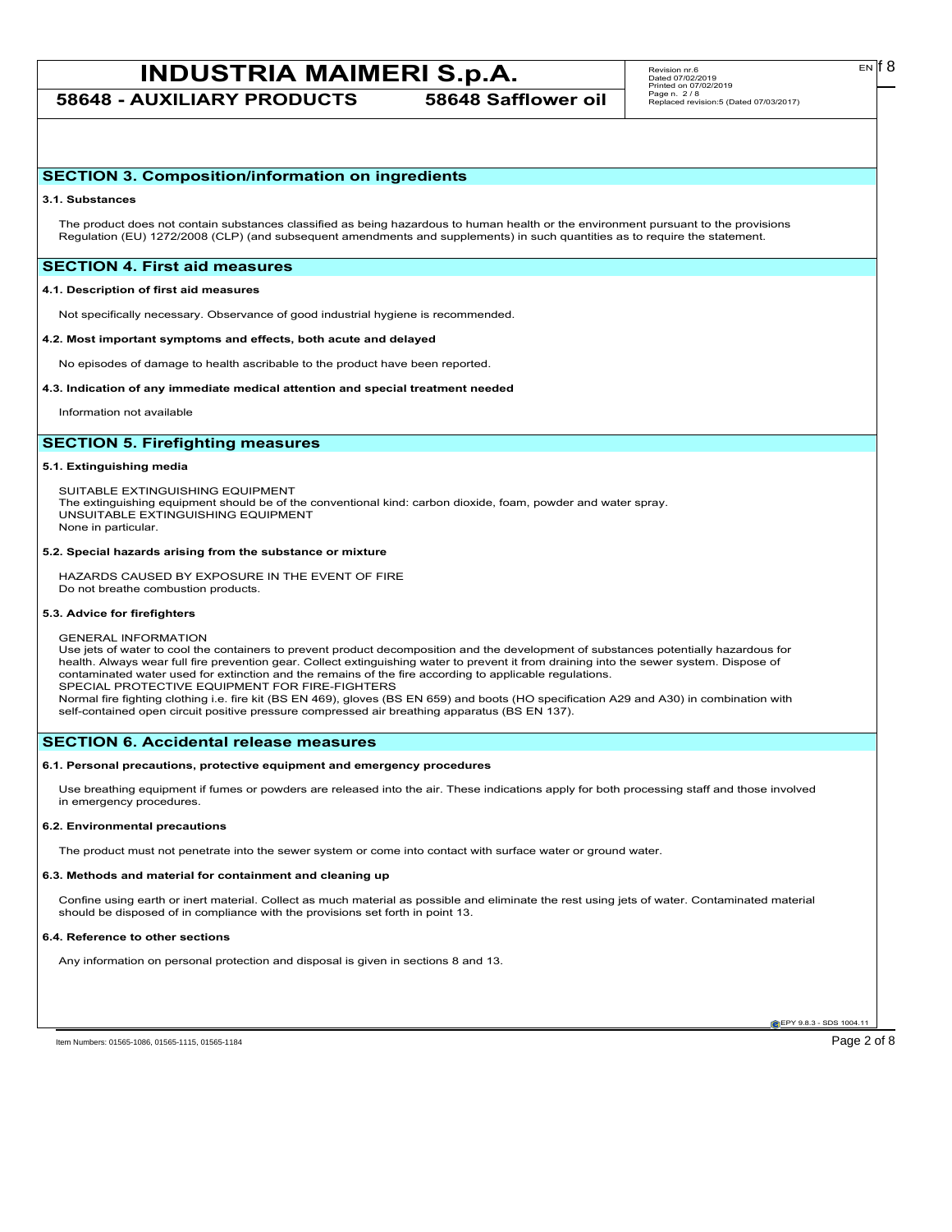**58648 - AUXILIARY PRODUCTS 58648 Safflower oil**

# **SECTION 3. Composition/information on ingredients**

#### **3.1. Substances**

The product does not contain substances classified as being hazardous to human health or the environment pursuant to the provisions Regulation (EU) 1272/2008 (CLP) (and subsequent amendments and supplements) in such quantities as to require the statement.

# **SECTION 4. First aid measures**

### **4.1. Description of first aid measures**

Not specifically necessary. Observance of good industrial hygiene is recommended.

#### **4.2. Most important symptoms and effects, both acute and delayed**

No episodes of damage to health ascribable to the product have been reported.

#### **4.3. Indication of any immediate medical attention and special treatment needed**

Information not available

# **SECTION 5. Firefighting measures**

#### **5.1. Extinguishing media**

SUITABLE EXTINGUISHING EQUIPMENT The extinguishing equipment should be of the conventional kind: carbon dioxide, foam, powder and water spray. UNSUITABLE EXTINGUISHING EQUIPMENT None in particular.

#### **5.2. Special hazards arising from the substance or mixture**

HAZARDS CAUSED BY EXPOSURE IN THE EVENT OF FIRE Do not breathe combustion products.

#### **5.3. Advice for firefighters**

GENERAL INFORMATION Use jets of water to cool the containers to prevent product decomposition and the development of substances potentially hazardous for health. Always wear full fire prevention gear. Collect extinguishing water to prevent it from draining into the sewer system. Dispose of contaminated water used for extinction and the remains of the fire according to applicable regulations. SPECIAL PROTECTIVE EQUIPMENT FOR FIRE-FIGHTERS Normal fire fighting clothing i.e. fire kit (BS EN 469), gloves (BS EN 659) and boots (HO specification A29 and A30) in combination with self-contained open circuit positive pressure compressed air breathing apparatus (BS EN 137).

# **SECTION 6. Accidental release measures**

#### **6.1. Personal precautions, protective equipment and emergency procedures**

Use breathing equipment if fumes or powders are released into the air. These indications apply for both processing staff and those involved in emergency procedures.

#### **6.2. Environmental precautions**

The product must not penetrate into the sewer system or come into contact with surface water or ground water.

### **6.3. Methods and material for containment and cleaning up**

Confine using earth or inert material. Collect as much material as possible and eliminate the rest using jets of water. Contaminated material should be disposed of in compliance with the provisions set forth in point 13.

#### **6.4. Reference to other sections**

Any information on personal protection and disposal is given in sections 8 and 13.

**EPY 9.8.3 - SDS 1004.11** 

Item Numbers: 01565-1086, 01565-1115, 01565-1184 Page 2 of 8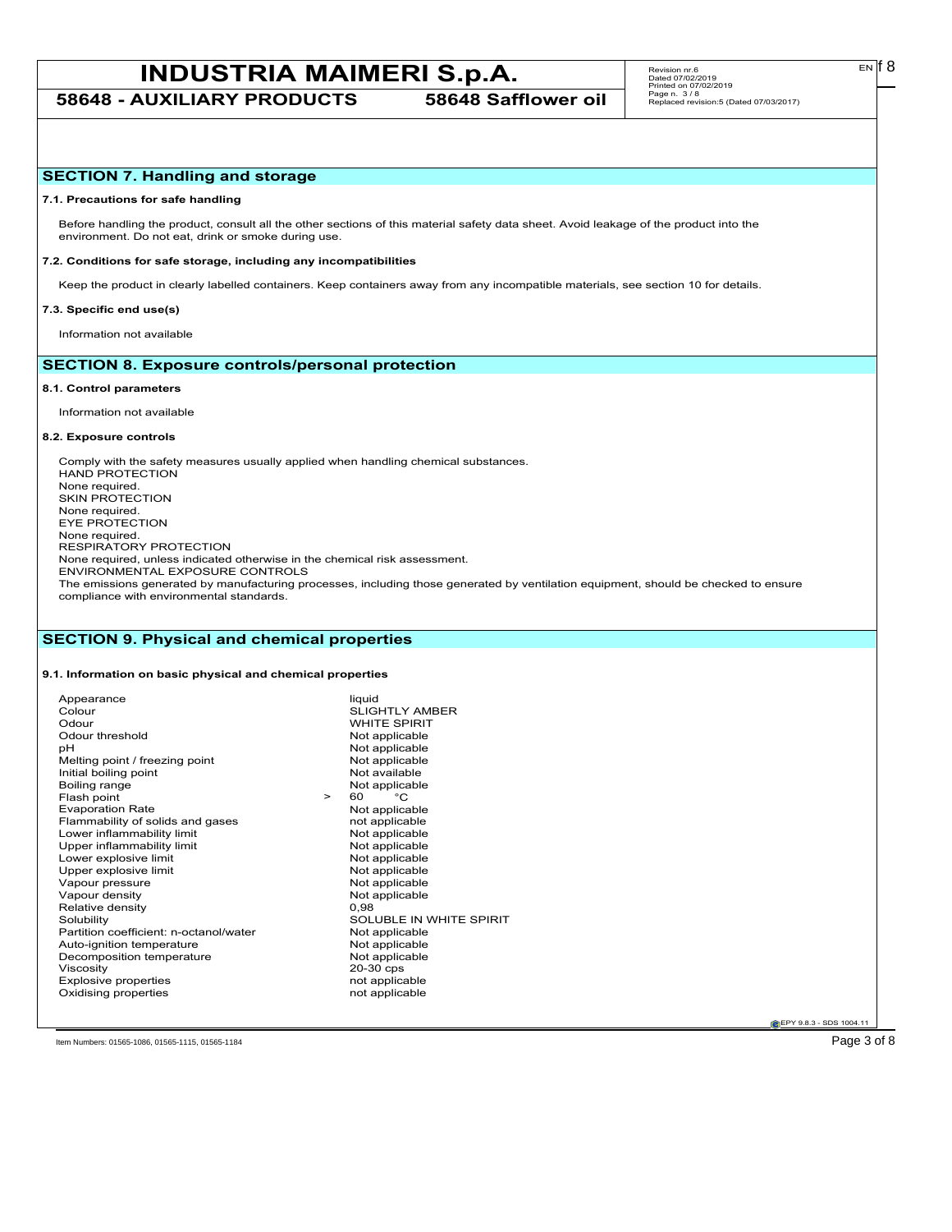**58648 - AUXILIARY PRODUCTS 58648 Safflower oil**

# **SECTION 7. Handling and storage**

#### **7.1. Precautions for safe handling**

Before handling the product, consult all the other sections of this material safety data sheet. Avoid leakage of the product into the environment. Do not eat, drink or smoke during use.

#### **7.2. Conditions for safe storage, including any incompatibilities**

Keep the product in clearly labelled containers. Keep containers away from any incompatible materials, see section 10 for details.

# **7.3. Specific end use(s)**

Information not available

# **SECTION 8. Exposure controls/personal protection**

#### **8.1. Control parameters**

Information not available

#### **8.2. Exposure controls**

Comply with the safety measures usually applied when handling chemical substances. HAND PROTECTION None required. SKIN PROTECTION None required. EYE PROTECTION None required. RESPIRATORY PROTECTION None required, unless indicated otherwise in the chemical risk assessment. ENVIRONMENTAL EXPOSURE CONTROLS The emissions generated by manufacturing processes, including those generated by ventilation equipment, should be checked to ensure compliance with environmental standards.

# **SECTION 9. Physical and chemical properties**

# **9.1. Information on basic physical and chemical properties**

| Appearance                             | liquid                  |
|----------------------------------------|-------------------------|
| Colour                                 | <b>SLIGHTLY AMBER</b>   |
| Odour                                  | <b>WHITE SPIRIT</b>     |
| Odour threshold                        | Not applicable          |
| pН                                     | Not applicable          |
| Melting point / freezing point         | Not applicable          |
| Initial boiling point                  | Not available           |
| Boiling range                          | Not applicable          |
| Flash point                            | °C<br>60<br>$\geq$      |
| <b>Evaporation Rate</b>                | Not applicable          |
| Flammability of solids and gases       | not applicable          |
| Lower inflammability limit             | Not applicable          |
| Upper inflammability limit             | Not applicable          |
| Lower explosive limit                  | Not applicable          |
| Upper explosive limit                  | Not applicable          |
| Vapour pressure                        | Not applicable          |
| Vapour density                         | Not applicable          |
| Relative density                       | 0,98                    |
| Solubility                             | SOLUBLE IN WHITE SPIRIT |
| Partition coefficient: n-octanol/water | Not applicable          |
| Auto-ignition temperature              | Not applicable          |
| Decomposition temperature              | Not applicable          |
| Viscosity                              | 20-30 cps               |
| Explosive properties                   | not applicable          |
| Oxidising properties                   | not applicable          |

**EPY 9.8.3 - SDS 1004.1** 

Item Numbers: 01565-1086, 01565-1115, 01565-1184 **Page 3 of 8** 

 $E<sub>N</sub>$  18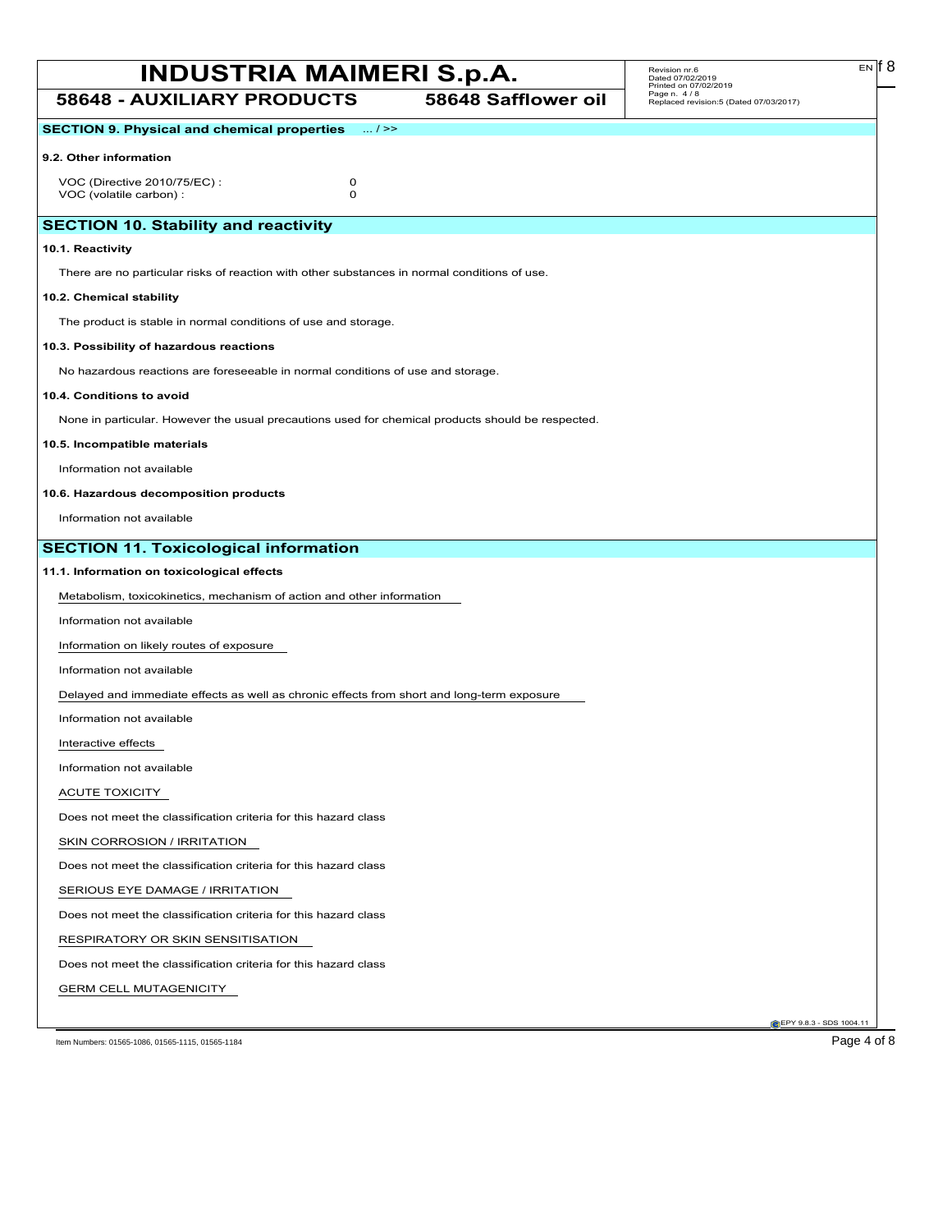EN

**58648 - AUXILIARY PRODUCTS 58648 Safflower oil C**EPY 9.8.3 - SDS 1004.1 **SECTION 9. Physical and chemical properties** ... / >> **9.2. Other information** VOC (Directive 2010/75/EC) : 0<br>VOC (volatile carbon) : 0 VOC (volatile carbon) : **SECTION 10. Stability and reactivity 10.1. Reactivity** There are no particular risks of reaction with other substances in normal conditions of use. **10.2. Chemical stability** The product is stable in normal conditions of use and storage. **10.3. Possibility of hazardous reactions** No hazardous reactions are foreseeable in normal conditions of use and storage. **10.4. Conditions to avoid** None in particular. However the usual precautions used for chemical products should be respected. **10.5. Incompatible materials** Information not available **10.6. Hazardous decomposition products** Information not available **SECTION 11. Toxicological information 11.1. Information on toxicological effects** Metabolism, toxicokinetics, mechanism of action and other information Information not available Information on likely routes of exposure Information not available Delayed and immediate effects as well as chronic effects from short and long-term exposure Information not available Interactive effects Information not available ACUTE TOXICITY Does not meet the classification criteria for this hazard class SKIN CORROSION / IRRITATION Does not meet the classification criteria for this hazard class SERIOUS EYE DAMAGE / IRRITATION Does not meet the classification criteria for this hazard class RESPIRATORY OR SKIN SENSITISATION Does not meet the classification criteria for this hazard class GERM CELL MUTAGENICITY Item Numbers: 01565-1086, 01565-1115, 01565-1184 **Page 4 of 8**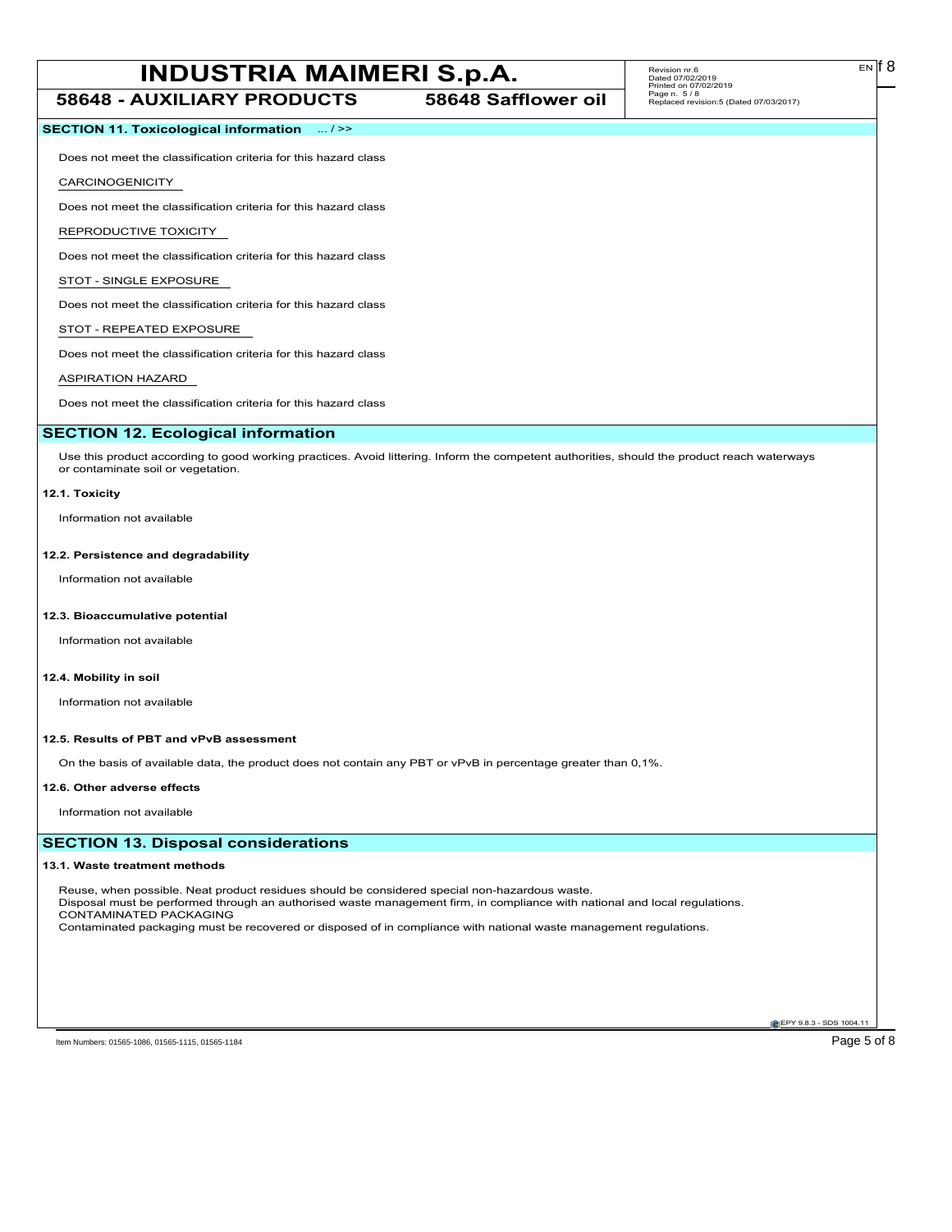# **INDUSTRIA MAIMERI S.p.A.** Revision m.s. EN [8] **58648 - AUXILIARY PRODUCTS 58648 Safflower oil**

# **SECTION 11. Toxicological information** ... / >>

Does not meet the classification criteria for this hazard class

#### CARCINOGENICITY

Does not meet the classification criteria for this hazard class

#### REPRODUCTIVE TOXICITY

Does not meet the classification criteria for this hazard class

## STOT - SINGLE EXPOSURE

Does not meet the classification criteria for this hazard class

## STOT - REPEATED EXPOSURE

Does not meet the classification criteria for this hazard class

### ASPIRATION HAZARD

Does not meet the classification criteria for this hazard class

# **SECTION 12. Ecological information**

Use this product according to good working practices. Avoid littering. Inform the competent authorities, should the product reach waterways or contaminate soil or vegetation.

#### **12.1. Toxicity**

Information not available

#### **12.2. Persistence and degradability**

Information not available

### **12.3. Bioaccumulative potential**

Information not available

## **12.4. Mobility in soil**

Information not available

#### **12.5. Results of PBT and vPvB assessment**

On the basis of available data, the product does not contain any PBT or vPvB in percentage greater than 0,1%.

#### **12.6. Other adverse effects**

Information not available

# **SECTION 13. Disposal considerations**

#### **13.1. Waste treatment methods**

Reuse, when possible. Neat product residues should be considered special non-hazardous waste. Disposal must be performed through an authorised waste management firm, in compliance with national and local regulations. CONTAMINATED PACKAGING Contaminated packaging must be recovered or disposed of in compliance with national waste management regulations.

EN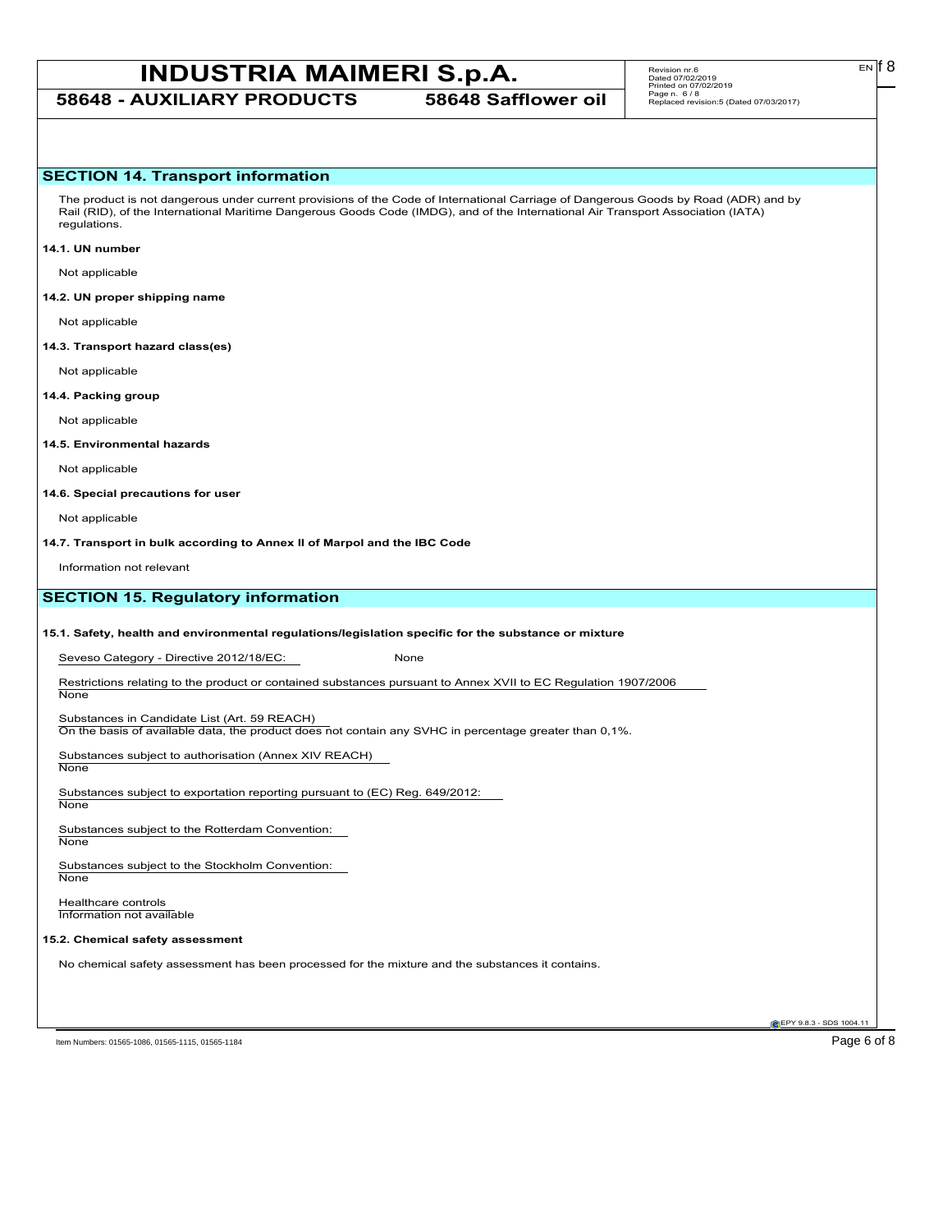**58648 - AUXILIARY PRODUCTS 58648 Safflower oil**

# **SECTION 14. Transport information**

The product is not dangerous under current provisions of the Code of International Carriage of Dangerous Goods by Road (ADR) and by Rail (RID), of the International Maritime Dangerous Goods Code (IMDG), and of the International Air Transport Association (IATA) regulations.

#### **14.1. UN number**

Not applicable

## **14.2. UN proper shipping name**

Not applicable

#### **14.3. Transport hazard class(es)**

Not applicable

### **14.4. Packing group**

Not applicable

## **14.5. Environmental hazards**

Not applicable

#### **14.6. Special precautions for user**

Not applicable

**14.7. Transport in bulk according to Annex II of Marpol and the IBC Code**

Information not relevant

# **SECTION 15. Regulatory information**

### **15.1. Safety, health and environmental regulations/legislation specific for the substance or mixture**

Seveso Category - Directive 2012/18/EC: None

Restrictions relating to the product or contained substances pursuant to Annex XVII to EC Regulation 1907/2006 **None** 

### Substances in Candidate List (Art. 59 REACH)

On the basis of available data, the product does not contain any SVHC in percentage greater than 0,1%.

Substances subject to authorisation (Annex XIV REACH) **None** 

Substances subject to exportation reporting pursuant to (EC) Reg. 649/2012:

**None** 

Substances subject to the Rotterdam Convention: None

Substances subject to the Stockholm Convention: **None** 

Healthcare controls Information not available

# **15.2. Chemical safety assessment**

No chemical safety assessment has been processed for the mixture and the substances it contains.

Item Numbers: 01565-1086, 01565-1115, 01565-1184 **Page 6 of 8** 

**C**EPY 9.8.3 - SDS 1004.1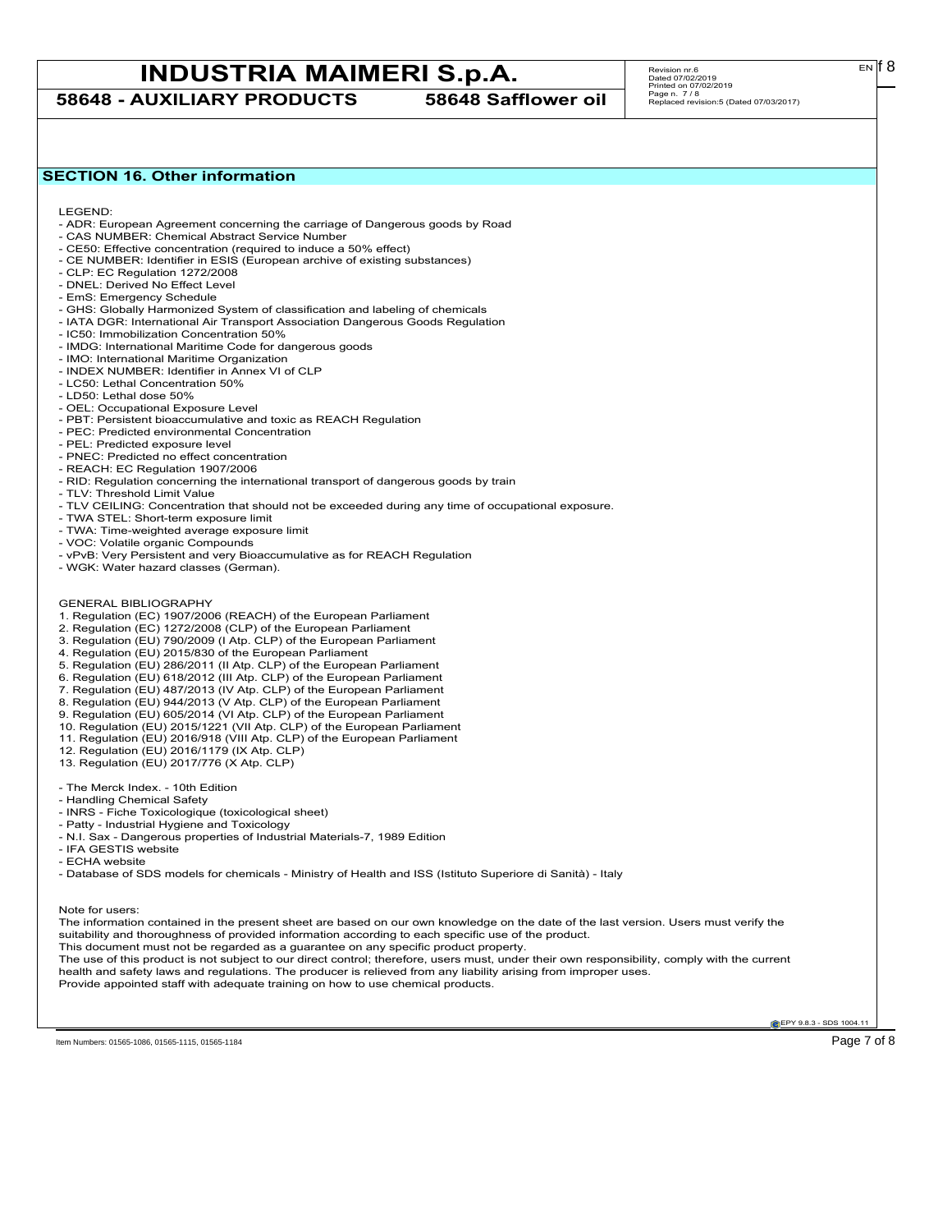**58648 - AUXILIARY PRODUCTS 58648 Safflower oil**

 $E<sub>N</sub>$  18

# **SECTION 16. Other information**

LEGEND:

- ADR: European Agreement concerning the carriage of Dangerous goods by Road
- CAS NUMBER: Chemical Abstract Service Number - CE50: Effective concentration (required to induce a 50% effect)
- CE NUMBER: Identifier in ESIS (European archive of existing substances)
- CLP: EC Regulation 1272/2008
- DNEL: Derived No Effect Level
- EmS: Emergency Schedule
- GHS: Globally Harmonized System of classification and labeling of chemicals
- IATA DGR: International Air Transport Association Dangerous Goods Regulation
- IC50: Immobilization Concentration 50%
- IMDG: International Maritime Code for dangerous goods
- IMO: International Maritime Organization
- INDEX NUMBER: Identifier in Annex VI of CLP
- LC50: Lethal Concentration 50%
- LD50: Lethal dose 50%
- OEL: Occupational Exposure Level
- PBT: Persistent bioaccumulative and toxic as REACH Regulation
- PEC: Predicted environmental Concentration
- PEL: Predicted exposure level
- PNEC: Predicted no effect concentration
- REACH: EC Regulation 1907/2006
- RID: Regulation concerning the international transport of dangerous goods by train
- TLV: Threshold Limit Value
- TLV CEILING: Concentration that should not be exceeded during any time of occupational exposure.
- TWA STEL: Short-term exposure limit
- TWA: Time-weighted average exposure limit
- VOC: Volatile organic Compounds
- vPvB: Very Persistent and very Bioaccumulative as for REACH Regulation
- WGK: Water hazard classes (German).
- GENERAL BIBLIOGRAPHY
- 1. Regulation (EC) 1907/2006 (REACH) of the European Parliament
- 2. Regulation (EC) 1272/2008 (CLP) of the European Parliament
- 3. Regulation (EU) 790/2009 (I Atp. CLP) of the European Parliament
- 4. Regulation (EU) 2015/830 of the European Parliament
- 5. Regulation (EU) 286/2011 (II Atp. CLP) of the European Parliament
- 6. Regulation (EU) 618/2012 (III Atp. CLP) of the European Parliament
- 7. Regulation (EU) 487/2013 (IV Atp. CLP) of the European Parliament
- 8. Regulation (EU) 944/2013 (V Atp. CLP) of the European Parliament
- 9. Regulation (EU) 605/2014 (VI Atp. CLP) of the European Parliament
- 10. Regulation (EU) 2015/1221 (VII Atp. CLP) of the European Parliament
- 11. Regulation (EU) 2016/918 (VIII Atp. CLP) of the European Parliament
- 12. Regulation (EU) 2016/1179 (IX Atp. CLP)
- 13. Regulation (EU) 2017/776 (X Atp. CLP)
- The Merck Index. 10th Edition
- Handling Chemical Safety
- INRS Fiche Toxicologique (toxicological sheet)
- Patty Industrial Hygiene and Toxicology
- N.I. Sax Dangerous properties of Industrial Materials-7, 1989 Edition
- IFA GESTIS website
- ECHA website
- Database of SDS models for chemicals Ministry of Health and ISS (Istituto Superiore di Sanità) Italy

Note for users:

The information contained in the present sheet are based on our own knowledge on the date of the last version. Users must verify the suitability and thoroughness of provided information according to each specific use of the product.

- This document must not be regarded as a guarantee on any specific product property.
- The use of this product is not subject to our direct control; therefore, users must, under their own responsibility, comply with the current health and safety laws and regulations. The producer is relieved from any liability arising from improper uses.

Provide appointed staff with adequate training on how to use chemical products.

**C**EPY 9.8.3 - SDS 1004.1